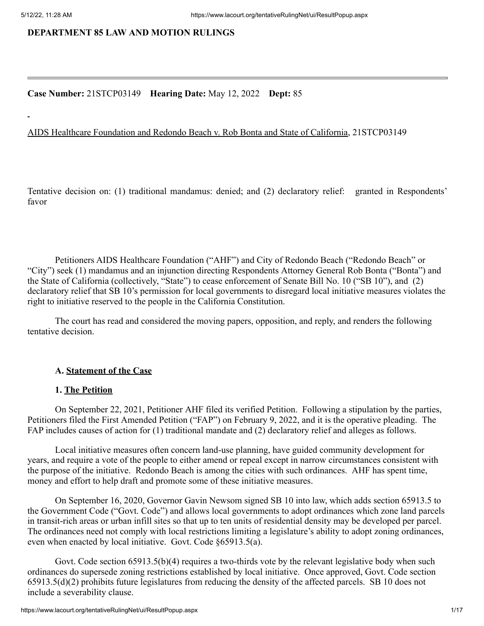## **DEPARTMENT 85 LAW AND MOTION RULINGS**

#### **Case Number:** 21STCP03149 **Hearing Date:** May 12, 2022 **Dept:** 85

#### AIDS Healthcare Foundation and Redondo Beach v. Rob Bonta and State of California, 21STCP03149

Tentative decision on: (1) traditional mandamus: denied; and (2) declaratory relief: granted in Respondents' favor

Petitioners AIDS Healthcare Foundation ("AHF") and City of Redondo Beach ("Redondo Beach" or "City") seek (1) mandamus and an injunction directing Respondents Attorney General Rob Bonta ("Bonta") and the State of California (collectively, "State") to cease enforcement of Senate Bill No. 10 ("SB 10"), and (2) declaratory relief that SB 10's permission for local governments to disregard local initiative measures violates the right to initiative reserved to the people in the California Constitution.

The court has read and considered the moving papers, opposition, and reply, and renders the following tentative decision.

### **A. Statement of the Case**

#### **1. The Petition**

On September 22, 2021, Petitioner AHF filed its verified Petition. Following a stipulation by the parties, Petitioners filed the First Amended Petition ("FAP") on February 9, 2022, and it is the operative pleading. The FAP includes causes of action for (1) traditional mandate and (2) declaratory relief and alleges as follows.

Local initiative measures often concern land-use planning, have guided community development for years, and require a vote of the people to either amend or repeal except in narrow circumstances consistent with the purpose of the initiative. Redondo Beach is among the cities with such ordinances. AHF has spent time, money and effort to help draft and promote some of these initiative measures.

On September 16, 2020, Governor Gavin Newsom signed SB 10 into law, which adds section 65913.5 to the Government Code ("Govt. Code") and allows local governments to adopt ordinances which zone land parcels in transit-rich areas or urban infill sites so that up to ten units of residential density may be developed per parcel. The ordinances need not comply with local restrictions limiting a legislature's ability to adopt zoning ordinances, even when enacted by local initiative. Govt. Code §65913.5(a).

Govt. Code section 65913.5(b)(4) requires a two-thirds vote by the relevant legislative body when such ordinances do supersede zoning restrictions established by local initiative. Once approved, Govt. Code section 65913.5(d)(2) prohibits future legislatures from reducing the density of the affected parcels. SB 10 does not include a severability clause.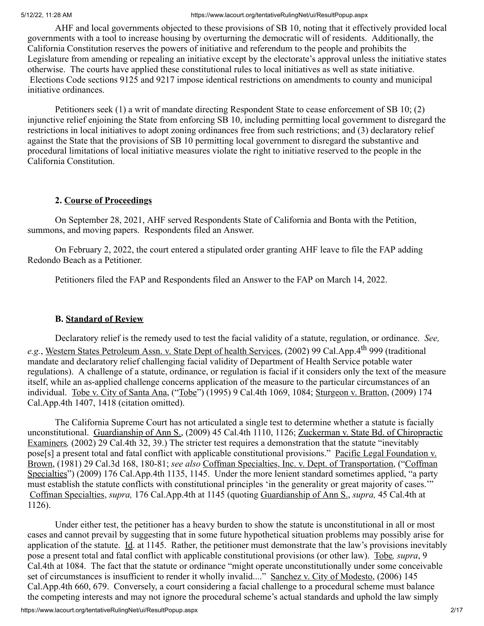AHF and local governments objected to these provisions of SB 10, noting that it effectively provided local governments with a tool to increase housing by overturning the democratic will of residents. Additionally, the California Constitution reserves the powers of initiative and referendum to the people and prohibits the Legislature from amending or repealing an initiative except by the electorate's approval unless the initiative states otherwise. The courts have applied these constitutional rules to local initiatives as well as state initiative. Elections Code sections 9125 and 9217 impose identical restrictions on amendments to county and municipal initiative ordinances.

Petitioners seek (1) a writ of mandate directing Respondent State to cease enforcement of SB 10; (2) injunctive relief enjoining the State from enforcing SB 10, including permitting local government to disregard the restrictions in local initiatives to adopt zoning ordinances free from such restrictions; and (3) declaratory relief against the State that the provisions of SB 10 permitting local government to disregard the substantive and procedural limitations of local initiative measures violate the right to initiative reserved to the people in the California Constitution.

## **2. Course of Proceedings**

On September 28, 2021, AHF served Respondents State of California and Bonta with the Petition, summons, and moving papers. Respondents filed an Answer.

On February 2, 2022, the court entered a stipulated order granting AHF leave to file the FAP adding Redondo Beach as a Petitioner.

Petitioners filed the FAP and Respondents filed an Answer to the FAP on March 14, 2022.

## **B. Standard of Review**

Declaratory relief is the remedy used to test the facial validity of a statute, regulation, or ordinance. *See,* e.g., Western States Petroleum Assn. v. State Dept of health Services, (2002) 99 Cal.App.4<sup>th</sup> 999 (traditional mandate and declaratory relief challenging facial validity of Department of Health Service potable water regulations). A challenge of a statute, ordinance, or regulation is facial if it considers only the text of the measure itself, while an as-applied challenge concerns application of the measure to the particular circumstances of an individual. Tobe v. City of Santa Ana, ("Tobe") (1995) 9 Cal.4th 1069, 1084; Sturgeon v. Bratton, (2009) 174 Cal.App.4th 1407, 1418 (citation omitted).

The California Supreme Court has not articulated a single test to determine whether a statute is facially unconstitutional. Guardianship of Ann S., (2009) 45 Cal.4th 1110, 1126; Zuckerman v. State Bd. of Chiropractic Examiners*,* (2002) 29 Cal.4th 32, 39.) The stricter test requires a demonstration that the statute "inevitably pose[s] a present total and fatal conflict with applicable constitutional provisions." Pacific Legal Foundation v. Brown, (1981) 29 Cal.3d 168, 180-81; *see also* Coffman Specialties, Inc. v. Dept. of Transportation, ("Coffman Specialties") (2009) 176 Cal.App.4th 1135, 1145. Under the more lenient standard sometimes applied, "a party must establish the statute conflicts with constitutional principles 'in the generality or great majority of cases.'" Coffman Specialties, *supra,* 176 Cal.App.4th at 1145 (quoting Guardianship of Ann S., *supra,* 45 Cal.4th at 1126).

Under either test, the petitioner has a heavy burden to show the statute is unconstitutional in all or most cases and cannot prevail by suggesting that in some future hypothetical situation problems may possibly arise for application of the statute. Id. at 1145. Rather, the petitioner must demonstrate that the law's provisions inevitably pose a present total and fatal conflict with applicable constitutional provisions (or other law). Tobe*, supra*, 9 Cal.4th at 1084. The fact that the statute or ordinance "might operate unconstitutionally under some conceivable set of circumstances is insufficient to render it wholly invalid...." Sanchez v. City of Modesto, (2006) 145 Cal.App.4th 660, 679. Conversely, a court considering a facial challenge to a procedural scheme must balance the competing interests and may not ignore the procedural scheme's actual standards and uphold the law simply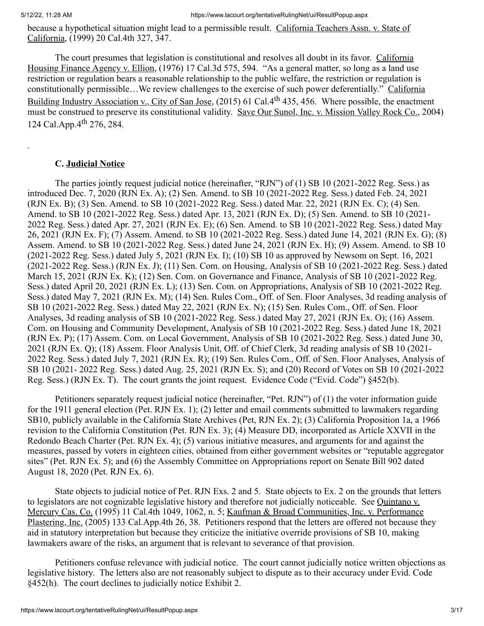because a hypothetical situation might lead to a permissible result. California Teachers Assn. v. State of California, (1999) 20 Cal.4th 327, 347.

The court presumes that legislation is constitutional and resolves all doubt in its favor. California Housing Finance Agency v. Ellion, (1976) 17 Cal.3d 575, 594. "As a general matter, so long as a land use restriction or regulation bears a reasonable relationship to the public welfare, the restriction or regulation is constitutionally permissible…We review challenges to the exercise of such power deferentially." California Building Industry Association v., City of San Jose, (2015) 61 Cal.4<sup>th</sup> 435, 456. Where possible, the enactment must be construed to preserve its constitutional validity. Save Our Sunol, Inc. v. Mission Valley Rock Co., 2004) 124 Cal.App.4<sup>th</sup> 276, 284.

## **C. Judicial Notice**

The parties jointly request judicial notice (hereinafter, "RJN") of (1) SB 10 (2021-2022 Reg. Sess.) as introduced Dec. 7, 2020 (RJN Ex. A); (2) Sen. Amend. to SB 10 (2021-2022 Reg. Sess.) dated Feb. 24, 2021 (RJN Ex. B); (3) Sen. Amend. to SB 10 (2021-2022 Reg. Sess.) dated Mar. 22, 2021 (RJN Ex. C); (4) Sen. Amend. to SB 10 (2021-2022 Reg. Sess.) dated Apr. 13, 2021 (RJN Ex. D); (5) Sen. Amend. to SB 10 (2021- 2022 Reg. Sess.) dated Apr. 27, 2021 (RJN Ex. E); (6) Sen. Amend. to SB 10 (2021-2022 Reg. Sess.) dated May 26, 2021 (RJN Ex. F); (7) Assem. Amend. to SB 10 (2021-2022 Reg. Sess.) dated June 14, 2021 (RJN Ex. G); (8) Assem. Amend. to SB 10 (2021-2022 Reg. Sess.) dated June 24, 2021 (RJN Ex. H); (9) Assem. Amend. to SB 10 (2021-2022 Reg. Sess.) dated July 5, 2021 (RJN Ex. I); (10) SB 10 as approved by Newsom on Sept. 16, 2021 (2021-2022 Reg. Sess.) (RJN Ex. J); (11) Sen. Com. on Housing, Analysis of SB 10 (2021-2022 Reg. Sess.) dated March 15, 2021 (RJN Ex. K); (12) Sen. Com. on Governance and Finance, Analysis of SB 10 (2021-2022 Reg. Sess.) dated April 20, 2021 (RJN Ex. L); (13) Sen. Com. on Appropriations, Analysis of SB 10 (2021-2022 Reg. Sess.) dated May 7, 2021 (RJN Ex. M); (14) Sen. Rules Com., Off. of Sen. Floor Analyses, 3d reading analysis of SB 10 (2021-2022 Reg. Sess.) dated May 22, 2021 (RJN Ex. N); (15) Sen. Rules Com., Off. of Sen. Floor Analyses, 3d reading analysis of SB 10 (2021-2022 Reg. Sess.) dated May 27, 2021 (RJN Ex. O); (16) Assem. Com. on Housing and Community Development, Analysis of SB 10 (2021-2022 Reg. Sess.) dated June 18, 2021 (RJN Ex. P); (17) Assem. Com. on Local Government, Analysis of SB 10 (2021-2022 Reg. Sess.) dated June 30, 2021 (RJN Ex. Q); (18) Assem. Floor Analysis Unit, Off. of Chief Clerk, 3d reading analysis of SB 10 (2021- 2022 Reg. Sess.) dated July 7, 2021 (RJN Ex. R); (19) Sen. Rules Com., Off. of Sen. Floor Analyses, Analysis of SB 10 (2021- 2022 Reg. Sess.) dated Aug. 25, 2021 (RJN Ex. S); and (20) Record of Votes on SB 10 (2021-2022 Reg. Sess.) (RJN Ex. T). The court grants the joint request. Evidence Code ("Evid. Code") §452(b).

Petitioners separately request judicial notice (hereinafter, "Pet. RJN") of (1) the voter information guide for the 1911 general election (Pet. RJN Ex. 1); (2) letter and email comments submitted to lawmakers regarding SB10, publicly available in the California State Archives (Pet, RJN Ex. 2); (3) California Proposition 1a, a 1966 revision to the California Constitution (Pet. RJN Ex. 3); (4) Measure DD, incorporated as Article XXVII in the Redondo Beach Charter (Pet. RJN Ex. 4); (5) various initiative measures, and arguments for and against the measures, passed by voters in eighteen cities, obtained from either government websites or "reputable aggregator sites" (Pet. RJN Ex. 5); and (6) the Assembly Committee on Appropriations report on Senate Bill 902 dated August 18, 2020 (Pet. RJN Ex. 6).

State objects to judicial notice of Pet. RJN Exs. 2 and 5. State objects to Ex. 2 on the grounds that letters to legislators are not cognizable legislative history and therefore not judicially noticeable. See Quintano v. Mercury Cas. Co. (1995) 11 Cal.4th 1049, 1062, n. 5; Kaufman & Broad Communities, Inc. v. Performance Plastering, Inc. (2005) 133 Cal.App.4th 26, 38. Petitioners respond that the letters are offered not because they aid in statutory interpretation but because they criticize the initiative override provisions of SB 10, making lawmakers aware of the risks, an argument that is relevant to severance of that provision.

Petitioners confuse relevance with judicial notice. The court cannot judicially notice written objections as legislative history. The letters also are not reasonably subject to dispute as to their accuracy under Evid. Code §452(h). The court declines to judicially notice Exhibit 2.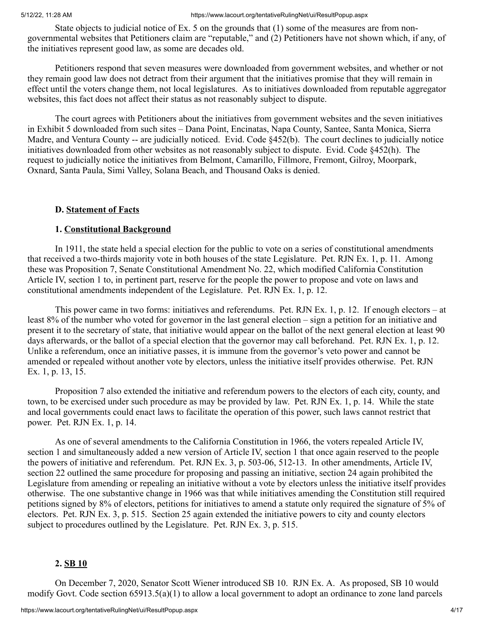State objects to judicial notice of Ex. 5 on the grounds that (1) some of the measures are from nongovernmental websites that Petitioners claim are "reputable," and (2) Petitioners have not shown which, if any, of the initiatives represent good law, as some are decades old.

Petitioners respond that seven measures were downloaded from government websites, and whether or not they remain good law does not detract from their argument that the initiatives promise that they will remain in effect until the voters change them, not local legislatures. As to initiatives downloaded from reputable aggregator websites, this fact does not affect their status as not reasonably subject to dispute.

The court agrees with Petitioners about the initiatives from government websites and the seven initiatives in Exhibit 5 downloaded from such sites – Dana Point, Encinatas, Napa County, Santee, Santa Monica, Sierra Madre, and Ventura County -- are judicially noticed. Evid. Code §452(b). The court declines to judicially notice initiatives downloaded from other websites as not reasonably subject to dispute. Evid. Code §452(h). The request to judicially notice the initiatives from Belmont, Camarillo, Fillmore, Fremont, Gilroy, Moorpark, Oxnard, Santa Paula, Simi Valley, Solana Beach, and Thousand Oaks is denied.

#### **D. Statement of Facts**

#### **1. Constitutional Background**

In 1911, the state held a special election for the public to vote on a series of constitutional amendments that received a two-thirds majority vote in both houses of the state Legislature. Pet. RJN Ex. 1, p. 11. Among these was Proposition 7, Senate Constitutional Amendment No. 22, which modified California Constitution Article IV, section 1 to, in pertinent part, reserve for the people the power to propose and vote on laws and constitutional amendments independent of the Legislature. Pet. RJN Ex. 1, p. 12.

This power came in two forms: initiatives and referendums. Pet. RJN Ex. 1, p. 12. If enough electors – at least 8% of the number who voted for governor in the last general election – sign a petition for an initiative and present it to the secretary of state, that initiative would appear on the ballot of the next general election at least 90 days afterwards, or the ballot of a special election that the governor may call beforehand. Pet. RJN Ex. 1, p. 12. Unlike a referendum, once an initiative passes, it is immune from the governor's veto power and cannot be amended or repealed without another vote by electors, unless the initiative itself provides otherwise. Pet. RJN Ex. 1, p. 13, 15.

Proposition 7 also extended the initiative and referendum powers to the electors of each city, county, and town, to be exercised under such procedure as may be provided by law. Pet. RJN Ex. 1, p. 14. While the state and local governments could enact laws to facilitate the operation of this power, such laws cannot restrict that power. Pet. RJN Ex. 1, p. 14.

As one of several amendments to the California Constitution in 1966, the voters repealed Article IV, section 1 and simultaneously added a new version of Article IV, section 1 that once again reserved to the people the powers of initiative and referendum. Pet. RJN Ex. 3, p. 503-06, 512-13. In other amendments, Article IV, section 22 outlined the same procedure for proposing and passing an initiative, section 24 again prohibited the Legislature from amending or repealing an initiative without a vote by electors unless the initiative itself provides otherwise. The one substantive change in 1966 was that while initiatives amending the Constitution still required petitions signed by 8% of electors, petitions for initiatives to amend a statute only required the signature of 5% of electors. Pet. RJN Ex. 3, p. 515. Section 25 again extended the initiative powers to city and county electors subject to procedures outlined by the Legislature. Pet. RJN Ex. 3, p. 515.

#### **2. SB 10**

On December 7, 2020, Senator Scott Wiener introduced SB 10. RJN Ex. A. As proposed, SB 10 would modify Govt. Code section 65913.5(a)(1) to allow a local government to adopt an ordinance to zone land parcels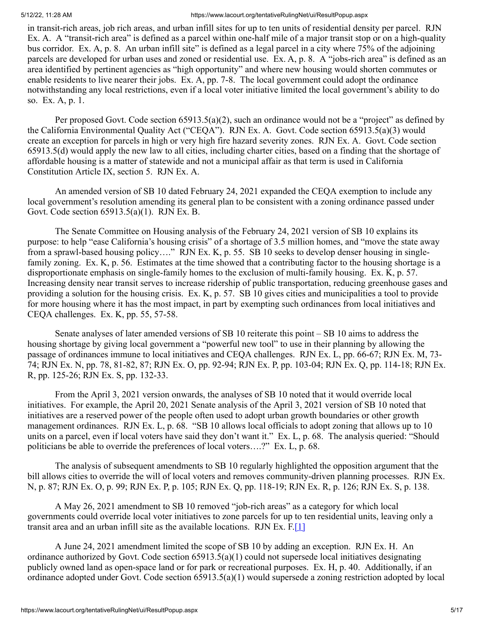in transit-rich areas, job rich areas, and urban infill sites for up to ten units of residential density per parcel. RJN Ex. A. A "transit-rich area" is defined as a parcel within one-half mile of a major transit stop or on a high-quality bus corridor. Ex. A, p. 8. An urban infill site" is defined as a legal parcel in a city where 75% of the adjoining parcels are developed for urban uses and zoned or residential use. Ex. A, p. 8. A "jobs-rich area" is defined as an area identified by pertinent agencies as "high opportunity" and where new housing would shorten commutes or enable residents to live nearer their jobs. Ex. A, pp. 7-8. The local government could adopt the ordinance notwithstanding any local restrictions, even if a local voter initiative limited the local government's ability to do so. Ex. A, p. 1.

Per proposed Govt. Code section 65913.5(a)(2), such an ordinance would not be a "project" as defined by the California Environmental Quality Act ("CEQA"). RJN Ex. A. Govt. Code section 65913.5(a)(3) would create an exception for parcels in high or very high fire hazard severity zones. RJN Ex. A. Govt. Code section 65913.5(d) would apply the new law to all cities, including charter cities, based on a finding that the shortage of affordable housing is a matter of statewide and not a municipal affair as that term is used in California Constitution Article IX, section 5. RJN Ex. A.

An amended version of SB 10 dated February 24, 2021 expanded the CEQA exemption to include any local government's resolution amending its general plan to be consistent with a zoning ordinance passed under Govt. Code section 65913.5(a)(1). RJN Ex. B.

The Senate Committee on Housing analysis of the February 24, 2021 version of SB 10 explains its purpose: to help "ease California's housing crisis" of a shortage of 3.5 million homes, and "move the state away from a sprawl-based housing policy…." RJN Ex. K, p. 55. SB 10 seeks to develop denser housing in singlefamily zoning. Ex. K, p. 56. Estimates at the time showed that a contributing factor to the housing shortage is a disproportionate emphasis on single-family homes to the exclusion of multi-family housing. Ex. K, p. 57. Increasing density near transit serves to increase ridership of public transportation, reducing greenhouse gases and providing a solution for the housing crisis. Ex. K, p. 57. SB 10 gives cities and municipalities a tool to provide for more housing where it has the most impact, in part by exempting such ordinances from local initiatives and CEQA challenges. Ex. K, pp. 55, 57-58.

Senate analyses of later amended versions of SB 10 reiterate this point – SB 10 aims to address the housing shortage by giving local government a "powerful new tool" to use in their planning by allowing the passage of ordinances immune to local initiatives and CEQA challenges. RJN Ex. L, pp. 66-67; RJN Ex. M, 73- 74; RJN Ex. N, pp. 78, 81-82, 87; RJN Ex. O, pp. 92-94; RJN Ex. P, pp. 103-04; RJN Ex. Q, pp. 114-18; RJN Ex. R, pp. 125-26; RJN Ex. S, pp. 132-33.

From the April 3, 2021 version onwards, the analyses of SB 10 noted that it would override local initiatives. For example, the April 20, 2021 Senate analysis of the April 3, 2021 version of SB 10 noted that initiatives are a reserved power of the people often used to adopt urban growth boundaries or other growth management ordinances. RJN Ex. L, p. 68. "SB 10 allows local officials to adopt zoning that allows up to 10 units on a parcel, even if local voters have said they don't want it." Ex. L, p. 68. The analysis queried: "Should politicians be able to override the preferences of local voters….?" Ex. L, p. 68.

The analysis of subsequent amendments to SB 10 regularly highlighted the opposition argument that the bill allows cities to override the will of local voters and removes community-driven planning processes. RJN Ex. N, p. 87; RJN Ex. O, p. 99; RJN Ex. P, p. 105; RJN Ex. Q, pp. 118-19; RJN Ex. R, p. 126; RJN Ex. S, p. 138.

A May 26, 2021 amendment to SB 10 removed "job-rich areas" as a category for which local governments could override local voter initiatives to zone parcels for up to ten residential units, leaving only a transit area and an urban infill site as the available locations. RJN Ex.  $F[\mathbf{1}]$ 

A June 24, 2021 amendment limited the scope of SB 10 by adding an exception. RJN Ex. H. An ordinance authorized by Govt. Code section  $65913.5(a)(1)$  could not supersede local initiatives designating publicly owned land as open-space land or for park or recreational purposes. Ex. H, p. 40. Additionally, if an ordinance adopted under Govt. Code section 65913.5(a)(1) would supersede a zoning restriction adopted by local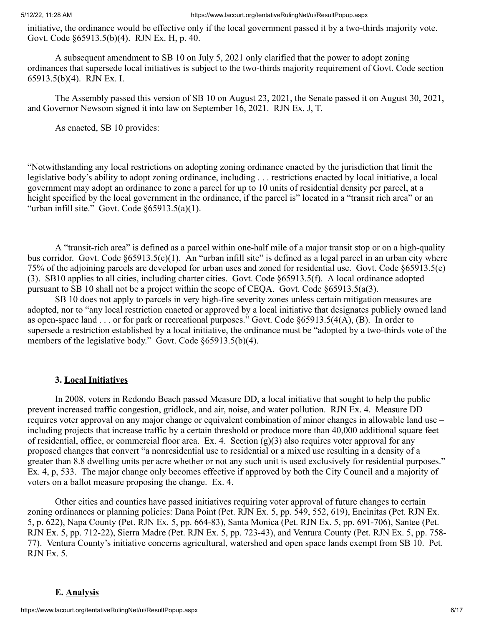initiative, the ordinance would be effective only if the local government passed it by a two-thirds majority vote. Govt. Code §65913.5(b)(4). RJN Ex. H, p. 40.

A subsequent amendment to SB 10 on July 5, 2021 only clarified that the power to adopt zoning ordinances that supersede local initiatives is subject to the two-thirds majority requirement of Govt. Code section 65913.5(b)(4). RJN Ex. I.

The Assembly passed this version of SB 10 on August 23, 2021, the Senate passed it on August 30, 2021, and Governor Newsom signed it into law on September 16, 2021. RJN Ex. J, T.

As enacted, SB 10 provides:

"Notwithstanding any local restrictions on adopting zoning ordinance enacted by the jurisdiction that limit the legislative body's ability to adopt zoning ordinance, including . . . restrictions enacted by local initiative, a local government may adopt an ordinance to zone a parcel for up to 10 units of residential density per parcel, at a height specified by the local government in the ordinance, if the parcel is" located in a "transit rich area" or an "urban infill site." Govt. Code §65913.5(a)(1).

A "transit-rich area" is defined as a parcel within one-half mile of a major transit stop or on a high-quality bus corridor. Govt. Code §65913.5(e)(1). An "urban infill site" is defined as a legal parcel in an urban city where 75% of the adjoining parcels are developed for urban uses and zoned for residential use. Govt. Code §65913.5(e) (3). SB10 applies to all cities, including charter cities. Govt. Code §65913.5(f). A local ordinance adopted pursuant to SB 10 shall not be a project within the scope of CEQA. Govt. Code §65913.5(a(3).

SB 10 does not apply to parcels in very high-fire severity zones unless certain mitigation measures are adopted, nor to "any local restriction enacted or approved by a local initiative that designates publicly owned land as open-space land . . . or for park or recreational purposes." Govt. Code §65913.5(4(A), (B). In order to supersede a restriction established by a local initiative, the ordinance must be "adopted by a two-thirds vote of the members of the legislative body." Govt. Code §65913.5(b)(4).

#### **3. Local Initiatives**

In 2008, voters in Redondo Beach passed Measure DD, a local initiative that sought to help the public prevent increased traffic congestion, gridlock, and air, noise, and water pollution. RJN Ex. 4. Measure DD requires voter approval on any major change or equivalent combination of minor changes in allowable land use – including projects that increase traffic by a certain threshold or produce more than 40,000 additional square feet of residential, office, or commercial floor area. Ex. 4. Section  $(g)(3)$  also requires voter approval for any proposed changes that convert "a nonresidential use to residential or a mixed use resulting in a density of a greater than 8.8 dwelling units per acre whether or not any such unit is used exclusively for residential purposes." Ex. 4, p, 533. The major change only becomes effective if approved by both the City Council and a majority of voters on a ballot measure proposing the change. Ex. 4.

Other cities and counties have passed initiatives requiring voter approval of future changes to certain zoning ordinances or planning policies: Dana Point (Pet. RJN Ex. 5, pp. 549, 552, 619), Encinitas (Pet. RJN Ex. 5, p. 622), Napa County (Pet. RJN Ex. 5, pp. 664-83), Santa Monica (Pet. RJN Ex. 5, pp. 691-706), Santee (Pet. RJN Ex. 5, pp. 712-22), Sierra Madre (Pet. RJN Ex. 5, pp. 723-43), and Ventura County (Pet. RJN Ex. 5, pp. 758- 77). Ventura County's initiative concerns agricultural, watershed and open space lands exempt from SB 10. Pet. RJN Ex. 5.

#### **E. Analysis**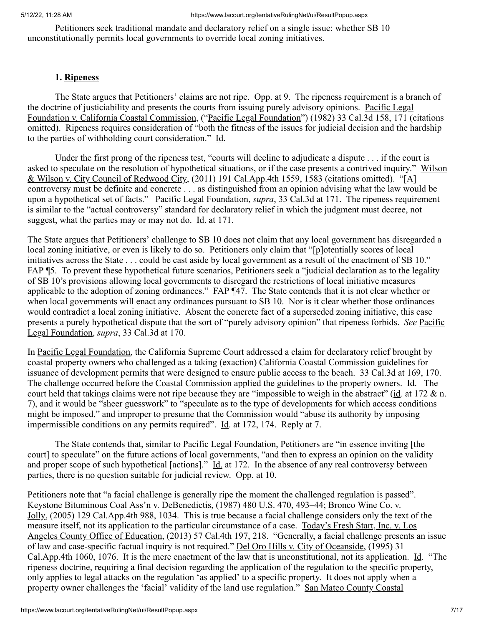Petitioners seek traditional mandate and declaratory relief on a single issue: whether SB 10 unconstitutionally permits local governments to override local zoning initiatives.

## **1. Ripeness**

The State argues that Petitioners' claims are not ripe. Opp. at 9. The ripeness requirement is a branch of the doctrine of justiciability and presents the courts from issuing purely advisory opinions. Pacific Legal Foundation v. California Coastal Commission, ("Pacific Legal Foundation") (1982) 33 Cal.3d 158, 171 (citations omitted). Ripeness requires consideration of "both the fitness of the issues for judicial decision and the hardship to the parties of withholding court consideration." Id.

Under the first prong of the ripeness test, "courts will decline to adjudicate a dispute . . . if the court is asked to speculate on the resolution of hypothetical situations, or if the case presents a contrived inquiry." Wilson & Wilson v. City Council of Redwood City, (2011) 191 Cal.App.4th 1559, 1583 (citations omitted). "[A] controversy must be definite and concrete . . . as distinguished from an opinion advising what the law would be upon a hypothetical set of facts." Pacific Legal Foundation, *supra*, 33 Cal.3d at 171. The ripeness requirement is similar to the "actual controversy" standard for declaratory relief in which the judgment must decree, not suggest, what the parties may or may not do. Id. at 171.

The State argues that Petitioners' challenge to SB 10 does not claim that any local government has disregarded a local zoning initiative, or even is likely to do so. Petitioners only claim that "[p]otentially scores of local initiatives across the State . . . could be cast aside by local government as a result of the enactment of SB 10." FAP ¶5. To prevent these hypothetical future scenarios, Petitioners seek a "judicial declaration as to the legality of SB 10's provisions allowing local governments to disregard the restrictions of local initiative measures applicable to the adoption of zoning ordinances." FAP ¶47. The State contends that it is not clear whether or when local governments will enact any ordinances pursuant to SB 10. Nor is it clear whether those ordinances would contradict a local zoning initiative. Absent the concrete fact of a superseded zoning initiative, this case presents a purely hypothetical dispute that the sort of "purely advisory opinion" that ripeness forbids. *See* Pacific Legal Foundation, *supra*, 33 Cal.3d at 170.

In Pacific Legal Foundation, the California Supreme Court addressed a claim for declaratory relief brought by coastal property owners who challenged as a taking (exaction) California Coastal Commission guidelines for issuance of development permits that were designed to ensure public access to the beach. 33 Cal.3d at 169, 170. The challenge occurred before the Coastal Commission applied the guidelines to the property owners. Id. The court held that takings claims were not ripe because they are "impossible to weigh in the abstract" (id*.* at 172 & n. 7), and it would be "sheer guesswork" to "speculate as to the type of developments for which access conditions might be imposed," and improper to presume that the Commission would "abuse its authority by imposing impermissible conditions on any permits required". Id. at 172, 174. Reply at 7.

The State contends that, similar to Pacific Legal Foundation, Petitioners are "in essence inviting [the court] to speculate" on the future actions of local governments, "and then to express an opinion on the validity and proper scope of such hypothetical [actions]." Id. at 172. In the absence of any real controversy between parties, there is no question suitable for judicial review. Opp. at 10.

Petitioners note that "a facial challenge is generally ripe the moment the challenged regulation is passed". Keystone Bituminous Coal Ass'n v. DeBenedictis, (1987) 480 U.S. 470, 493–44; Bronco Wine Co. v. Jolly, (2005) 129 Cal.App.4th 988, 1034. This is true because a facial challenge considers only the text of the measure itself, not its application to the particular circumstance of a case. Today's Fresh Start, Inc. v. Los Angeles County Office of Education, (2013) 57 Cal.4th 197, 218. "Generally, a facial challenge presents an issue of law and case-specific factual inquiry is not required." Del Oro Hills v. City of Oceanside, (1995) 31 Cal.App.4th 1060, 1076. It is the mere enactment of the law that is unconstitutional, not its application. Id. "The ripeness doctrine, requiring a final decision regarding the application of the regulation to the specific property, only applies to legal attacks on the regulation 'as applied' to a specific property. It does not apply when a property owner challenges the 'facial' validity of the land use regulation." San Mateo County Coastal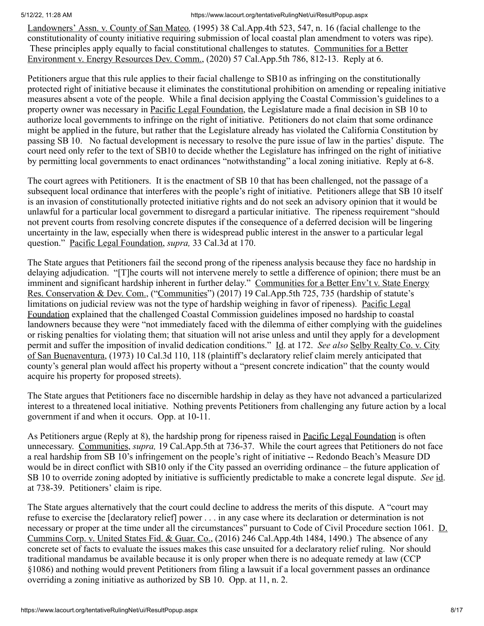Landowners' Assn. v. County of San Mateo*,* (1995) 38 Cal.App.4th 523, 547, n. 16 (facial challenge to the constitutionality of county initiative requiring submission of local coastal plan amendment to voters was ripe). These principles apply equally to facial constitutional challenges to statutes. Communities for a Better Environment v. Energy Resources Dev. Comm., (2020) 57 Cal.App.5th 786, 812-13. Reply at 6.

Petitioners argue that this rule applies to their facial challenge to SB10 as infringing on the constitutionally protected right of initiative because it eliminates the constitutional prohibition on amending or repealing initiative measures absent a vote of the people. While a final decision applying the Coastal Commission's guidelines to a property owner was necessary in Pacific Legal Foundation, the Legislature made a final decision in SB 10 to authorize local governments to infringe on the right of initiative. Petitioners do not claim that some ordinance might be applied in the future, but rather that the Legislature already has violated the California Constitution by passing SB 10. No factual development is necessary to resolve the pure issue of law in the parties' dispute. The court need only refer to the text of SB10 to decide whether the Legislature has infringed on the right of initiative by permitting local governments to enact ordinances "notwithstanding" a local zoning initiative. Reply at 6-8.

The court agrees with Petitioners. It is the enactment of SB 10 that has been challenged, not the passage of a subsequent local ordinance that interferes with the people's right of initiative. Petitioners allege that SB 10 itself is an invasion of constitutionally protected initiative rights and do not seek an advisory opinion that it would be unlawful for a particular local government to disregard a particular initiative. The ripeness requirement "should not prevent courts from resolving concrete disputes if the consequence of a deferred decision will be lingering uncertainty in the law, especially when there is widespread public interest in the answer to a particular legal question." Pacific Legal Foundation, *supra,* 33 Cal.3d at 170.

The State argues that Petitioners fail the second prong of the ripeness analysis because they face no hardship in delaying adjudication. "[T]he courts will not intervene merely to settle a difference of opinion; there must be an imminent and significant hardship inherent in further delay." Communities for a Better Env't v. State Energy Res. Conservation & Dev. Com., ("Communities") (2017) 19 Cal.App.5th 725, 735 (hardship of statute's limitations on judicial review was not the type of hardship weighing in favor of ripeness). Pacific Legal Foundation explained that the challenged Coastal Commission guidelines imposed no hardship to coastal landowners because they were "not immediately faced with the dilemma of either complying with the guidelines or risking penalties for violating them; that situation will not arise unless and until they apply for a development permit and suffer the imposition of invalid dedication conditions." Id. at 172. *See also* Selby Realty Co. v. City of San Buenaventura, (1973) 10 Cal.3d 110, 118 (plaintiff's declaratory relief claim merely anticipated that county's general plan would affect his property without a "present concrete indication" that the county would acquire his property for proposed streets).

The State argues that Petitioners face no discernible hardship in delay as they have not advanced a particularized interest to a threatened local initiative. Nothing prevents Petitioners from challenging any future action by a local government if and when it occurs. Opp. at 10-11.

As Petitioners argue (Reply at 8), the hardship prong for ripeness raised in Pacific Legal Foundation is often unnecessary. Communities, *supra,* 19 Cal.App.5th at 736-37. While the court agrees that Petitioners do not face a real hardship from SB 10's infringement on the people's right of initiative -- Redondo Beach's Measure DD would be in direct conflict with SB10 only if the City passed an overriding ordinance – the future application of SB 10 to override zoning adopted by initiative is sufficiently predictable to make a concrete legal dispute. *See* id. at 738-39. Petitioners' claim is ripe.

The State argues alternatively that the court could decline to address the merits of this dispute. A "court may refuse to exercise the [declaratory relief] power . . . in any case where its declaration or determination is not necessary or proper at the time under all the circumstances" pursuant to Code of Civil Procedure section 1061. D. Cummins Corp. v. United States Fid. & Guar. Co., (2016) 246 Cal.App.4th 1484, 1490.) The absence of any concrete set of facts to evaluate the issues makes this case unsuited for a declaratory relief ruling. Nor should traditional mandamus be available because it is only proper when there is no adequate remedy at law (CCP §1086) and nothing would prevent Petitioners from filing a lawsuit if a local government passes an ordinance overriding a zoning initiative as authorized by SB 10. Opp. at 11, n. 2.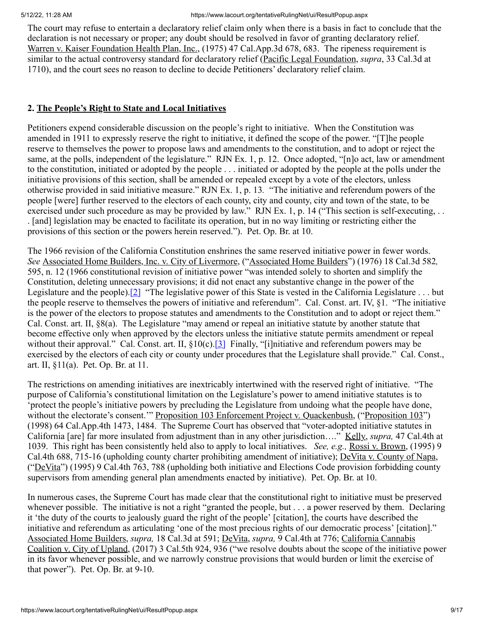The court may refuse to entertain a declaratory relief claim only when there is a basis in fact to conclude that the declaration is not necessary or proper; any doubt should be resolved in favor of granting declaratory relief. Warren v. Kaiser Foundation Health Plan, Inc., (1975) 47 Cal.App.3d 678, 683. The ripeness requirement is similar to the actual controversy standard for declaratory relief (Pacific Legal Foundation, *supra*, 33 Cal.3d at 1710), and the court sees no reason to decline to decide Petitioners' declaratory relief claim.

# **2. The People's Right to State and Local Initiatives**

Petitioners expend considerable discussion on the people's right to initiative. When the Constitution was amended in 1911 to expressly reserve the right to initiative, it defined the scope of the power. "[T]he people reserve to themselves the power to propose laws and amendments to the constitution, and to adopt or reject the same, at the polls, independent of the legislature." RJN Ex. 1, p. 12. Once adopted, "[n]o act, law or amendment to the constitution, initiated or adopted by the people . . . initiated or adopted by the people at the polls under the initiative provisions of this section, shall be amended or repealed except by a vote of the electors, unless otherwise provided in said initiative measure." RJN Ex. 1, p. 13*.* "The initiative and referendum powers of the people [were] further reserved to the electors of each county, city and county, city and town of the state, to be exercised under such procedure as may be provided by law." RJN Ex. 1, p. 14 ("This section is self-executing, .. . [and] legislation may be enacted to facilitate its operation, but in no way limiting or restricting either the provisions of this section or the powers herein reserved."). Pet. Op. Br. at 10.

The 1966 revision of the California Constitution enshrines the same reserved initiative power in fewer words. *See* Associated Home Builders, Inc. v. City of Livermore, ("Associated Home Builders") (1976) 18 Cal.3d 582*,* 595, n. 12 (1966 constitutional revision of initiative power "was intended solely to shorten and simplify the Constitution, deleting unnecessary provisions; it did not enact any substantive change in the power of the Legislature and the people).<sup>[\[2\]](file:///C:/Users/JDeLuna/AppData/Local/Microsoft/Windows/INetCache/Content.Outlook/VH3G8ZDI/May%2012%2021STCP03149%20AIDS%20Healthcare%20Mandate%20(003)%20(002).docx#_ftn2)</sup> "The legislative power of this State is vested in the California Legislature . . . but the people reserve to themselves the powers of initiative and referendum". Cal. Const. art. IV, §1. "The initiative is the power of the electors to propose statutes and amendments to the Constitution and to adopt or reject them." Cal. Const. art. II, §8(a). The Legislature "may amend or repeal an initiative statute by another statute that become effective only when approved by the electors unless the initiative statute permits amendment or repeal without their approval." Cal. Const. art. II,  $\S10(c)$ . [3] Finally, "[i]nitiative and referendum powers may be exercised by the electors of each city or county under procedures that the Legislature shall provide." Cal. Const., art. II, §11(a). Pet. Op. Br. at 11.

The restrictions on amending initiatives are inextricably intertwined with the reserved right of initiative. "The purpose of California's constitutional limitation on the Legislature's power to amend initiative statutes is to 'protect the people's initiative powers by precluding the Legislature from undoing what the people have done, without the electorate's consent.'" Proposition 103 Enforcement Project v. Quackenbush, ("Proposition 103") (1998) 64 Cal.App.4th 1473, 1484. The Supreme Court has observed that "voter-adopted initiative statutes in California [are] far more insulated from adjustment than in any other jurisdiction…." Kelly, *supra,* 47 Cal.4th at 1039. This right has been consistently held also to apply to local initiatives. *See, e.g.,* Rossi v. Brown, (1995) 9 Cal.4th 688, 715-16 (upholding county charter prohibiting amendment of initiative); DeVita v. County of Napa, ("DeVita") (1995) 9 Cal.4th 763, 788 (upholding both initiative and Elections Code provision forbidding county supervisors from amending general plan amendments enacted by initiative). Pet. Op. Br. at 10.

In numerous cases, the Supreme Court has made clear that the constitutional right to initiative must be preserved whenever possible. The initiative is not a right "granted the people, but . . . a power reserved by them. Declaring it 'the duty of the courts to jealously guard the right of the people' [citation], the courts have described the initiative and referendum as articulating 'one of the most precious rights of our democratic process' [citation]." Associated Home Builders, *supra,* 18 Cal.3d at 591; DeVita, *supra,* 9 Cal.4th at 776; California Cannabis Coalition v. City of Upland, (2017) 3 Cal.5th 924, 936 ("we resolve doubts about the scope of the initiative power in its favor whenever possible, and we narrowly construe provisions that would burden or limit the exercise of that power"). Pet. Op. Br. at 9-10.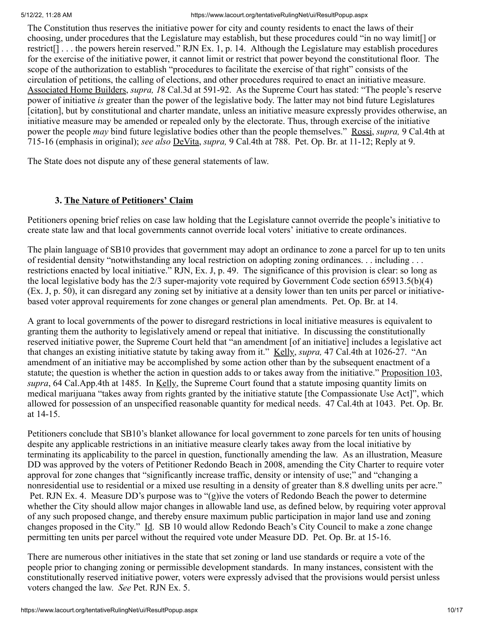The Constitution thus reserves the initiative power for city and county residents to enact the laws of their choosing, under procedures that the Legislature may establish, but these procedures could "in no way limit[] or restrict[] . . . the powers herein reserved." RJN Ex. 1, p. 14. Although the Legislature may establish procedures for the exercise of the initiative power, it cannot limit or restrict that power beyond the constitutional floor. The scope of the authorization to establish "procedures to facilitate the exercise of that right" consists of the circulation of petitions, the calling of elections, and other procedures required to enact an initiative measure. Associated Home Builders, *supra, 1*8 Cal.3d at 591-92. As the Supreme Court has stated: "The people's reserve power of initiative *is* greater than the power of the legislative body. The latter may not bind future Legislatures [citation], but by constitutional and charter mandate, unless an initiative measure expressly provides otherwise, an initiative measure may be amended or repealed only by the electorate. Thus, through exercise of the initiative power the people *may* bind future legislative bodies other than the people themselves." Rossi, *supra,* 9 Cal.4th at 715-16 (emphasis in original); *see also* DeVita, *supra,* 9 Cal.4th at 788. Pet. Op. Br. at 11-12; Reply at 9.

The State does not dispute any of these general statements of law.

# **3. The Nature of Petitioners' Claim**

Petitioners opening brief relies on case law holding that the Legislature cannot override the people's initiative to create state law and that local governments cannot override local voters' initiative to create ordinances.

The plain language of SB10 provides that government may adopt an ordinance to zone a parcel for up to ten units of residential density "notwithstanding any local restriction on adopting zoning ordinances. . . including . . . restrictions enacted by local initiative." RJN, Ex. J, p. 49. The significance of this provision is clear: so long as the local legislative body has the 2/3 super-majority vote required by Government Code section 65913.5(b)(4) (Ex. J, p. 50), it can disregard any zoning set by initiative at a density lower than ten units per parcel or initiativebased voter approval requirements for zone changes or general plan amendments. Pet. Op. Br. at 14.

A grant to local governments of the power to disregard restrictions in local initiative measures is equivalent to granting them the authority to legislatively amend or repeal that initiative. In discussing the constitutionally reserved initiative power, the Supreme Court held that "an amendment [of an initiative] includes a legislative act that changes an existing initiative statute by taking away from it." Kelly, *supra,* 47 Cal.4th at 1026-27. "An amendment of an initiative may be accomplished by some action other than by the subsequent enactment of a statute; the question is whether the action in question adds to or takes away from the initiative." Proposition 103, *supra*, 64 Cal.App.4th at 1485. In Kelly, the Supreme Court found that a statute imposing quantity limits on medical marijuana "takes away from rights granted by the initiative statute [the Compassionate Use Act]", which allowed for possession of an unspecified reasonable quantity for medical needs. 47 Cal.4th at 1043. Pet. Op. Br. at 14-15.

Petitioners conclude that SB10's blanket allowance for local government to zone parcels for ten units of housing despite any applicable restrictions in an initiative measure clearly takes away from the local initiative by terminating its applicability to the parcel in question, functionally amending the law. As an illustration, Measure DD was approved by the voters of Petitioner Redondo Beach in 2008, amending the City Charter to require voter approval for zone changes that "significantly increase traffic, density or intensity of use;" and "changing a nonresidential use to residential or a mixed use resulting in a density of greater than 8.8 dwelling units per acre." Pet. RJN Ex. 4. Measure DD's purpose was to "(g)ive the voters of Redondo Beach the power to determine whether the City should allow major changes in allowable land use, as defined below, by requiring voter approval of any such proposed change, and thereby ensure maximum public participation in major land use and zoning changes proposed in the City." Id. SB 10 would allow Redondo Beach's City Council to make a zone change permitting ten units per parcel without the required vote under Measure DD. Pet. Op. Br. at 15-16.

There are numerous other initiatives in the state that set zoning or land use standards or require a vote of the people prior to changing zoning or permissible development standards. In many instances, consistent with the constitutionally reserved initiative power, voters were expressly advised that the provisions would persist unless voters changed the law. *See* Pet. RJN Ex. 5.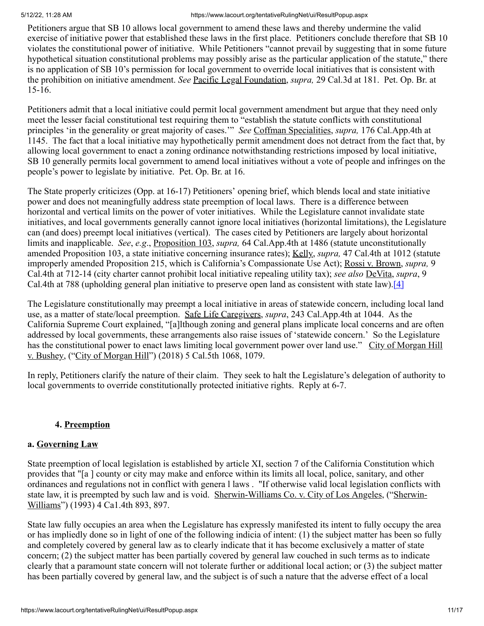Petitioners argue that SB 10 allows local government to amend these laws and thereby undermine the valid exercise of initiative power that established these laws in the first place. Petitioners conclude therefore that SB 10 violates the constitutional power of initiative. While Petitioners "cannot prevail by suggesting that in some future hypothetical situation constitutional problems may possibly arise as the particular application of the statute," there is no application of SB 10's permission for local government to override local initiatives that is consistent with the prohibition on initiative amendment. *See* Pacific Legal Foundation, *supra,* 29 Cal.3d at 181. Pet. Op. Br. at 15-16.

Petitioners admit that a local initiative could permit local government amendment but argue that they need only meet the lesser facial constitutional test requiring them to "establish the statute conflicts with constitutional principles 'in the generality or great majority of cases.'" *See* Coffman Specialities, *supra,* 176 Cal.App.4th at 1145. The fact that a local initiative may hypothetically permit amendment does not detract from the fact that, by allowing local government to enact a zoning ordinance notwithstanding restrictions imposed by local initiative, SB 10 generally permits local government to amend local initiatives without a vote of people and infringes on the people's power to legislate by initiative. Pet. Op. Br. at 16.

The State properly criticizes (Opp. at 16-17) Petitioners' opening brief, which blends local and state initiative power and does not meaningfully address state preemption of local laws. There is a difference between horizontal and vertical limits on the power of voter initiatives. While the Legislature cannot invalidate state initiatives, and local governments generally cannot ignore local initiatives (horizontal limitations), the Legislature can (and does) preempt local initiatives (vertical). The cases cited by Petitioners are largely about horizontal limits and inapplicable. *See*, *e.g*., Proposition 103, *supra,* 64 Cal.App.4th at 1486 (statute unconstitutionally amended Proposition 103, a state initiative concerning insurance rates); Kelly, *supra,* 47 Cal.4th at 1012 (statute improperly amended Proposition 215, which is California's Compassionate Use Act); Rossi v. Brown, *supra,* 9 Cal.4th at 712-14 (city charter cannot prohibit local initiative repealing utility tax); *see also* DeVita, *supra*, 9 Cal.4th at 788 (upholding general plan initiative to preserve open land as consistent with state law).[\[4\]](file:///C:/Users/JDeLuna/AppData/Local/Microsoft/Windows/INetCache/Content.Outlook/VH3G8ZDI/May%2012%2021STCP03149%20AIDS%20Healthcare%20Mandate%20(003)%20(002).docx#_ftn4)

The Legislature constitutionally may preempt a local initiative in areas of statewide concern, including local land use, as a matter of state/local preemption. Safe Life Caregivers, *supra*, 243 Cal.App.4th at 1044. As the California Supreme Court explained, "[a]lthough zoning and general plans implicate local concerns and are often addressed by local governments, these arrangements also raise issues of 'statewide concern.' So the Legislature has the constitutional power to enact laws limiting local government power over land use." City of Morgan Hill v. Bushey, ("City of Morgan Hill") (2018) 5 Cal.5th 1068, 1079.

In reply, Petitioners clarify the nature of their claim. They seek to halt the Legislature's delegation of authority to local governments to override constitutionally protected initiative rights. Reply at 6-7.

# **4. Preemption**

## **a. Governing Law**

State preemption of local legislation is established by article XI, section 7 of the California Constitution which provides that "[a ] county or city may make and enforce within its limits all local, police, sanitary, and other ordinances and regulations not in conflict with genera l laws . "If otherwise valid local legislation conflicts with state law, it is preempted by such law and is void. Sherwin-Williams Co. v. City of Los Angeles, ("Sherwin-Williams") (1993) 4 Ca1.4th 893, 897.

State law fully occupies an area when the Legislature has expressly manifested its intent to fully occupy the area or has impliedly done so in light of one of the following indicia of intent: (1) the subject matter has been so fully and completely covered by general law as to clearly indicate that it has become exclusively a matter of state concern; (2) the subject matter has been partially covered by general law couched in such terms as to indicate clearly that a paramount state concern will not tolerate further or additional local action; or (3) the subject matter has been partially covered by general law, and the subject is of such a nature that the adverse effect of a local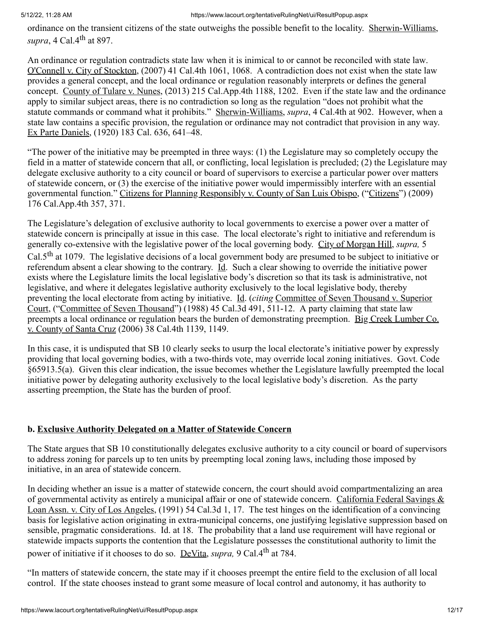ordinance on the transient citizens of the state outweighs the possible benefit to the locality. Sherwin-Williams, *supra*, 4 Cal.4th at 897.

An ordinance or regulation contradicts state law when it is inimical to or cannot be reconciled with state law. O'Connell v. City of Stockton, (2007) 41 Cal.4th 1061, 1068. A contradiction does not exist when the state law provides a general concept, and the local ordinance or regulation reasonably interprets or defines the general concept. County of Tulare v. Nunes, (2013) 215 Cal.App.4th 1188, 1202. Even if the state law and the ordinance apply to similar subject areas, there is no contradiction so long as the regulation "does not prohibit what the statute commands or command what it prohibits." Sherwin-Williams, *supra*, 4 Cal.4th at 902. However, when a state law contains a specific provision, the regulation or ordinance may not contradict that provision in any way. Ex Parte Daniels, (1920) 183 Cal. 636, 641–48.

"The power of the initiative may be preempted in three ways: (1) the Legislature may so completely occupy the field in a matter of statewide concern that all, or conflicting, local legislation is precluded; (2) the Legislature may delegate exclusive authority to a city council or board of supervisors to exercise a particular power over matters of statewide concern, or (3) the exercise of the initiative power would impermissibly interfere with an essential governmental function." Citizens for Planning Responsibly v. County of San Luis Obispo, ("Citizens") (2009) 176 Cal.App.4th 357, 371.

The Legislature's delegation of exclusive authority to local governments to exercise a power over a matter of statewide concern is principally at issue in this case. The local electorate's right to initiative and referendum is generally co-extensive with the legislative power of the local governing body. City of Morgan Hill, *supra,* 5 Cal.5<sup>th</sup> at 1079. The legislative decisions of a local government body are presumed to be subject to initiative or referendum absent a clear showing to the contrary. Id. Such a clear showing to override the initiative power exists where the Legislature limits the local legislative body's discretion so that its task is administrative, not legislative, and where it delegates legislative authority exclusively to the local legislative body, thereby preventing the local electorate from acting by initiative. Id. (*citing* Committee of Seven Thousand v. Superior Court, ("Committee of Seven Thousand") (1988) 45 Cal.3d 491, 511-12. A party claiming that state law preempts a local ordinance or regulation bears the burden of demonstrating preemption. Big Creek Lumber Co. v. County of Santa Cruz (2006) 38 Cal.4th 1139, 1149.

In this case, it is undisputed that SB 10 clearly seeks to usurp the local electorate's initiative power by expressly providing that local governing bodies, with a two-thirds vote, may override local zoning initiatives. Govt. Code §65913.5(a). Given this clear indication, the issue becomes whether the Legislature lawfully preempted the local initiative power by delegating authority exclusively to the local legislative body's discretion. As the party asserting preemption, the State has the burden of proof.

# **b. Exclusive Authority Delegated on a Matter of Statewide Concern**

The State argues that SB 10 constitutionally delegates exclusive authority to a city council or board of supervisors to address zoning for parcels up to ten units by preempting local zoning laws, including those imposed by initiative, in an area of statewide concern.

In deciding whether an issue is a matter of statewide concern, the court should avoid compartmentalizing an area of governmental activity as entirely a municipal affair or one of statewide concern. California Federal Savings & Loan Assn. v. City of Los Angeles, (1991) 54 Cal.3d 1, 17. The test hinges on the identification of a convincing basis for legislative action originating in extra-municipal concerns, one justifying legislative suppression based on sensible, pragmatic considerations. Id. at 18. The probability that a land use requirement will have regional or statewide impacts supports the contention that the Legislature possesses the constitutional authority to limit the power of initiative if it chooses to do so. DeVita, *supra*, 9 Cal.4<sup>th</sup> at 784.

"In matters of statewide concern, the state may if it chooses preempt the entire field to the exclusion of all local control. If the state chooses instead to grant some measure of local control and autonomy, it has authority to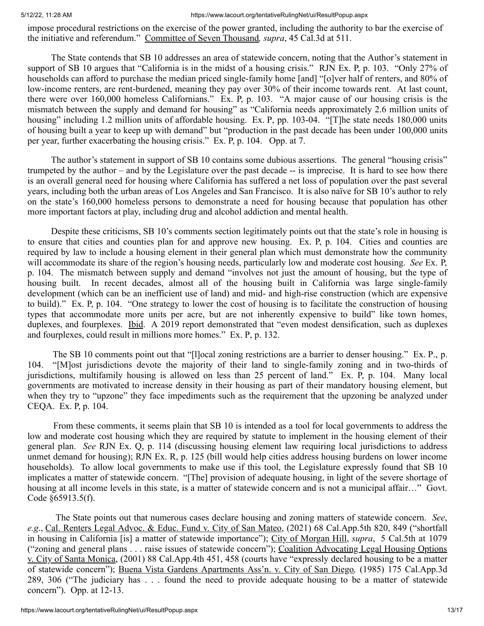impose procedural restrictions on the exercise of the power granted, including the authority to bar the exercise of the initiative and referendum." Committee of Seven Thousand*, supra*, 45 Cal.3d at 511.

The State contends that SB 10 addresses an area of statewide concern, noting that the Author's statement in support of SB 10 argues that "California is in the midst of a housing crisis." RJN Ex. P, p. 103. "Only 27% of households can afford to purchase the median priced single-family home [and] "[o]ver half of renters, and 80% of low-income renters, are rent-burdened, meaning they pay over 30% of their income towards rent. At last count, there were over 160,000 homeless Californians." Ex. P, p. 103. "A major cause of our housing crisis is the mismatch between the supply and demand for housing" as "California needs approximately 2.6 million units of housing" including 1.2 million units of affordable housing. Ex. P, pp. 103-04. "[T]he state needs 180,000 units of housing built a year to keep up with demand" but "production in the past decade has been under 100,000 units per year, further exacerbating the housing crisis." Ex. P, p. 104. Opp. at 7.

The author's statement in support of SB 10 contains some dubious assertions. The general "housing crisis" trumpeted by the author – and by the Legislature over the past decade -- is imprecise. It is hard to see how there is an overall general need for housing where California has suffered a net loss of population over the past several years, including both the urban areas of Los Angeles and San Francisco. It is also naïve for SB 10's author to rely on the state's 160,000 homeless persons to demonstrate a need for housing because that population has other more important factors at play, including drug and alcohol addiction and mental health.

Despite these criticisms, SB 10's comments section legitimately points out that the state's role in housing is to ensure that cities and counties plan for and approve new housing. Ex. P, p. 104. Cities and counties are required by law to include a housing element in their general plan which must demonstrate how the community will accommodate its share of the region's housing needs, particularly low and moderate cost housing. *See* Ex. P, p. 104. The mismatch between supply and demand "involves not just the amount of housing, but the type of housing built. In recent decades, almost all of the housing built in California was large single-family development (which can be an inefficient use of land) and mid- and high-rise construction (which are expensive to build)." Ex. P, p. 104. "One strategy to lower the cost of housing is to facilitate the construction of housing types that accommodate more units per acre, but are not inherently expensive to build" like town homes, duplexes, and fourplexes. Ibid. A 2019 report demonstrated that "even modest densification, such as duplexes and fourplexes, could result in millions more homes." Ex. P, p. 132.

The SB 10 comments point out that "[l]ocal zoning restrictions are a barrier to denser housing." Ex. P., p. 104. "[M]ost jurisdictions devote the majority of their land to single-family zoning and in two-thirds of jurisdictions, multifamily housing is allowed on less than 25 percent of land." Ex. P, p. 104. Many local governments are motivated to increase density in their housing as part of their mandatory housing element, but when they try to "upzone" they face impediments such as the requirement that the upzoning be analyzed under CEQA. Ex. P, p. 104.

From these comments, it seems plain that SB 10 is intended as a tool for local governments to address the low and moderate cost housing which they are required by statute to implement in the housing element of their general plan. *See* RJN Ex. Q, p. 114 (discussing housing element law requiring local jurisdictions to address unmet demand for housing); RJN Ex. R, p. 125 (bill would help cities address housing burdens on lower income households). To allow local governments to make use if this tool, the Legislature expressly found that SB 10 implicates a matter of statewide concern. "[The] provision of adequate housing, in light of the severe shortage of housing at all income levels in this state, is a matter of statewide concern and is not a municipal affair…" Govt. Code §65913.5(f).

The State points out that numerous cases declare housing and zoning matters of statewide concern. *See*, *e.g*., Cal. Renters Legal Advoc. & Educ. Fund v. City of San Mateo, (2021) 68 Cal.App.5th 820, 849 ("shortfall in housing in California [is] a matter of statewide importance"); City of Morgan Hill, *supra*, 5 Cal.5th at 1079 ("zoning and general plans . . . raise issues of statewide concern"); Coalition Advocating Legal Housing Options v. City of Santa Monica, (2001) 88 Cal.App.4th 451, 458 (courts have "expressly declared housing to be a matter of statewide concern"); Buena Vista Gardens Apartments Ass'n. v. City of San Diego*,* (1985) 175 Cal.App.3d 289, 306 ("The judiciary has . . . found the need to provide adequate housing to be a matter of statewide concern"). Opp. at 12-13.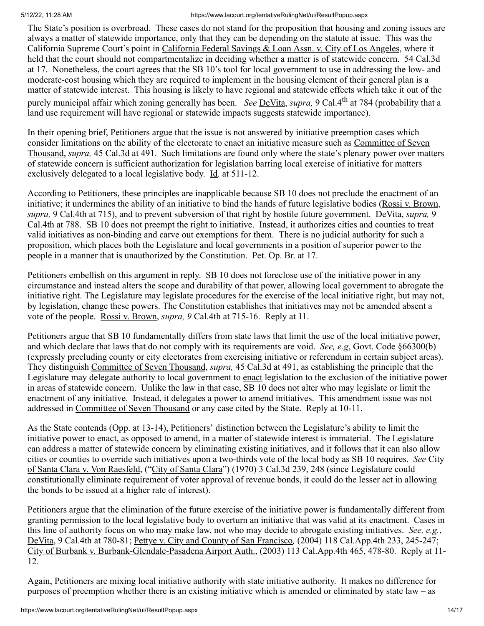The State's position is overbroad. These cases do not stand for the proposition that housing and zoning issues are always a matter of statewide importance, only that they can be depending on the statute at issue. This was the California Supreme Court's point in California Federal Savings & Loan Assn. v. City of Los Angeles, where it held that the court should not compartmentalize in deciding whether a matter is of statewide concern. 54 Cal.3d at 17. Nonetheless, the court agrees that the SB 10's tool for local government to use in addressing the low- and moderate-cost housing which they are required to implement in the housing element of their general plan is a matter of statewide interest. This housing is likely to have regional and statewide effects which take it out of the purely municipal affair which zoning generally has been. *See* DeVita, *supra,* 9 Cal.4th at 784 (probability that a land use requirement will have regional or statewide impacts suggests statewide importance).

In their opening brief, Petitioners argue that the issue is not answered by initiative preemption cases which consider limitations on the ability of the electorate to enact an initiative measure such as Committee of Seven Thousand, *supra,* 45 Cal.3d at 491. Such limitations are found only where the state's plenary power over matters of statewide concern is sufficient authorization for legislation barring local exercise of initiative for matters exclusively delegated to a local legislative body. Id*.* at 511-12.

According to Petitioners, these principles are inapplicable because SB 10 does not preclude the enactment of an initiative; it undermines the ability of an initiative to bind the hands of future legislative bodies (Rossi v. Brown, *supra,* 9 Cal.4th at 715), and to prevent subversion of that right by hostile future government. DeVita, *supra,* 9 Cal.4th at 788. SB 10 does not preempt the right to initiative. Instead, it authorizes cities and counties to treat valid initiatives as non-binding and carve out exemptions for them. There is no judicial authority for such a proposition, which places both the Legislature and local governments in a position of superior power to the people in a manner that is unauthorized by the Constitution. Pet. Op. Br. at 17.

Petitioners embellish on this argument in reply. SB 10 does not foreclose use of the initiative power in any circumstance and instead alters the scope and durability of that power, allowing local government to abrogate the initiative right. The Legislature may legislate procedures for the exercise of the local initiative right, but may not, by legislation, change these powers. The Constitution establishes that initiatives may not be amended absent a vote of the people. Rossi v. Brown, *supra, 9* Cal.4th at 715-16. Reply at 11.

Petitioners argue that SB 10 fundamentally differs from state laws that limit the use of the local initiative power, and which declare that laws that do not comply with its requirements are void. *See, e.g*, Govt. Code §66300(b) (expressly precluding county or city electorates from exercising initiative or referendum in certain subject areas). They distinguish Committee of Seven Thousand, *supra,* 45 Cal.3d at 491, as establishing the principle that the Legislature may delegate authority to local government to enact legislation to the exclusion of the initiative power in areas of statewide concern. Unlike the law in that case, SB 10 does not alter who may legislate or limit the enactment of any initiative. Instead, it delegates a power to amend initiatives. This amendment issue was not addressed in Committee of Seven Thousand or any case cited by the State. Reply at 10-11.

As the State contends (Opp. at 13-14), Petitioners' distinction between the Legislature's ability to limit the initiative power to enact, as opposed to amend, in a matter of statewide interest is immaterial. The Legislature can address a matter of statewide concern by eliminating existing initiatives, and it follows that it can also allow cities or counties to override such initiatives upon a two-thirds vote of the local body as SB 10 requires. *See* City of Santa Clara v. Von Raesfeld, ("City of Santa Clara") (1970) 3 Cal.3d 239, 248 (since Legislature could constitutionally eliminate requirement of voter approval of revenue bonds, it could do the lesser act in allowing the bonds to be issued at a higher rate of interest).

Petitioners argue that the elimination of the future exercise of the initiative power is fundamentally different from granting permission to the local legislative body to overturn an initiative that was valid at its enactment. Cases in this line of authority focus on who may make law, not who may decide to abrogate existing initiatives. *See, e.g.*, DeVita, 9 Cal.4th at 780-81; Pettye v. City and County of San Francisco*,* (2004) 118 Cal.App.4th 233, 245-247; City of Burbank v. Burbank-Glendale-Pasadena Airport Auth., (2003) 113 Cal.App.4th 465, 478-80. Reply at 11- 12.

Again, Petitioners are mixing local initiative authority with state initiative authority. It makes no difference for purposes of preemption whether there is an existing initiative which is amended or eliminated by state law – as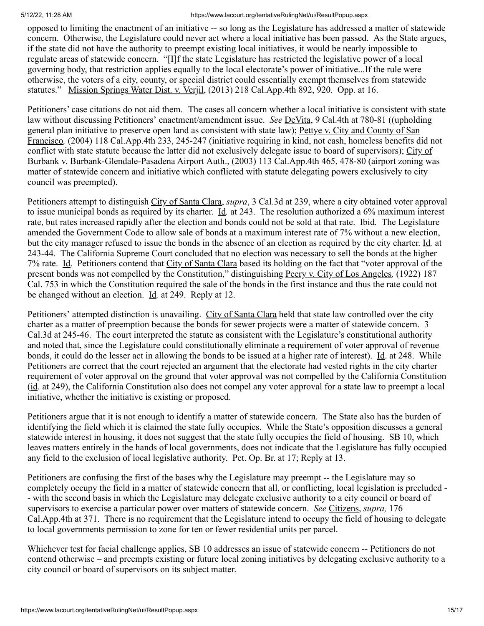opposed to limiting the enactment of an initiative -- so long as the Legislature has addressed a matter of statewide concern. Otherwise, the Legislature could never act where a local initiative has been passed. As the State argues, if the state did not have the authority to preempt existing local initiatives, it would be nearly impossible to regulate areas of statewide concern. "[I]f the state Legislature has restricted the legislative power of a local governing body, that restriction applies equally to the local electorate's power of initiative...If the rule were otherwise, the voters of a city, county, or special district could essentially exempt themselves from statewide statutes." Mission Springs Water Dist. v. Verjil, (2013) 218 Cal.App.4th 892, 920. Opp. at 16.

Petitioners' case citations do not aid them. The cases all concern whether a local initiative is consistent with state law without discussing Petitioners' enactment/amendment issue. *See* DeVita, 9 Cal.4th at 780-81 ((upholding general plan initiative to preserve open land as consistent with state law); Pettye v. City and County of San Francisco*,* (2004) 118 Cal.App.4th 233, 245-247 (initiative requiring in kind, not cash, homeless benefits did not conflict with state statute because the latter did not exclusively delegate issue to board of supervisors); City of Burbank v. Burbank-Glendale-Pasadena Airport Auth., (2003) 113 Cal.App.4th 465, 478-80 (airport zoning was matter of statewide concern and initiative which conflicted with statute delegating powers exclusively to city council was preempted).

Petitioners attempt to distinguish City of Santa Clara, *supra*, 3 Cal.3d at 239, where a city obtained voter approval to issue municipal bonds as required by its charter. Id*.* at 243. The resolution authorized a 6% maximum interest rate, but rates increased rapidly after the election and bonds could not be sold at that rate. Ibid*.* The Legislature amended the Government Code to allow sale of bonds at a maximum interest rate of 7% without a new election, but the city manager refused to issue the bonds in the absence of an election as required by the city charter. Id*.* at 243-44. The California Supreme Court concluded that no election was necessary to sell the bonds at the higher 7% rate. Id. Petitioners contend that City of Santa Clara based its holding on the fact that "voter approval of the present bonds was not compelled by the Constitution," distinguishing Peery v. City of Los Angeles*,* (1922) 187 Cal. 753 in which the Constitution required the sale of the bonds in the first instance and thus the rate could not be changed without an election. Id*.* at 249. Reply at 12.

Petitioners' attempted distinction is unavailing. City of Santa Clara held that state law controlled over the city charter as a matter of preemption because the bonds for sewer projects were a matter of statewide concern. 3 Cal.3d at 245-46. The court interpreted the statute as consistent with the Legislature's constitutional authority and noted that, since the Legislature could constitutionally eliminate a requirement of voter approval of revenue bonds, it could do the lesser act in allowing the bonds to be issued at a higher rate of interest). Id. at 248. While Petitioners are correct that the court rejected an argument that the electorate had vested rights in the city charter requirement of voter approval on the ground that voter approval was not compelled by the California Constitution (id. at 249), the California Constitution also does not compel any voter approval for a state law to preempt a local initiative, whether the initiative is existing or proposed.

Petitioners argue that it is not enough to identify a matter of statewide concern. The State also has the burden of identifying the field which it is claimed the state fully occupies. While the State's opposition discusses a general statewide interest in housing, it does not suggest that the state fully occupies the field of housing. SB 10, which leaves matters entirely in the hands of local governments, does not indicate that the Legislature has fully occupied any field to the exclusion of local legislative authority. Pet. Op. Br. at 17; Reply at 13.

Petitioners are confusing the first of the bases why the Legislature may preempt -- the Legislature may so completely occupy the field in a matter of statewide concern that all, or conflicting, local legislation is precluded - - with the second basis in which the Legislature may delegate exclusive authority to a city council or board of supervisors to exercise a particular power over matters of statewide concern. *See* Citizens, *supra,* 176 Cal.App.4th at 371. There is no requirement that the Legislature intend to occupy the field of housing to delegate to local governments permission to zone for ten or fewer residential units per parcel.

Whichever test for facial challenge applies, SB 10 addresses an issue of statewide concern -- Petitioners do not contend otherwise – and preempts existing or future local zoning initiatives by delegating exclusive authority to a city council or board of supervisors on its subject matter.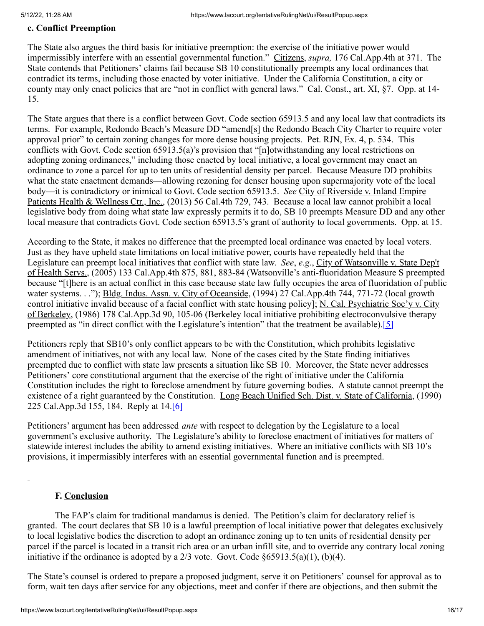## **c. Conflict Preemption**

The State also argues the third basis for initiative preemption: the exercise of the initiative power would impermissibly interfere with an essential governmental function." Citizens, *supra,* 176 Cal.App.4th at 371. The State contends that Petitioners' claims fail because SB 10 constitutionally preempts any local ordinances that contradict its terms, including those enacted by voter initiative. Under the California Constitution, a city or county may only enact policies that are "not in conflict with general laws." Cal. Const., art. XI, §7. Opp. at 14- 15.

The State argues that there is a conflict between Govt. Code section 65913.5 and any local law that contradicts its terms. For example, Redondo Beach's Measure DD "amend[s] the Redondo Beach City Charter to require voter approval prior" to certain zoning changes for more dense housing projects. Pet. RJN, Ex. 4, p. 534. This conflicts with Govt. Code section 65913.5(a)'s provision that "[n]otwithstanding any local restrictions on adopting zoning ordinances," including those enacted by local initiative, a local government may enact an ordinance to zone a parcel for up to ten units of residential density per parcel. Because Measure DD prohibits what the state enactment demands—allowing rezoning for denser housing upon supermajority vote of the local body—it is contradictory or inimical to Govt. Code section 65913.5. *See* City of Riverside v. Inland Empire Patients Health & Wellness Ctr., Inc., (2013) 56 Cal.4th 729, 743. Because a local law cannot prohibit a local legislative body from doing what state law expressly permits it to do, SB 10 preempts Measure DD and any other local measure that contradicts Govt. Code section 65913.5's grant of authority to local governments. Opp. at 15.

According to the State, it makes no difference that the preempted local ordinance was enacted by local voters. Just as they have upheld state limitations on local initiative power, courts have repeatedly held that the Legislature can preempt local initiatives that conflict with state law. *See*, *e.g*., City of Watsonville v. State Dep't of Health Servs., (2005) 133 Cal.App.4th 875, 881, 883-84 (Watsonville's anti-fluoridation Measure S preempted because "[t]here is an actual conflict in this case because state law fully occupies the area of fluoridation of public water systems. . ."); Bldg. Indus. Assn. v. City of Oceanside, (1994) 27 Cal.App.4th 744, 771-72 (local growth control initiative invalid because of a facial conflict with state housing policy]; N. Cal. Psychiatric Soc'y v. City of Berkeley, (1986) 178 Cal.App.3d 90, 105-06 (Berkeley local initiative prohibiting electroconvulsive therapy preempted as "in direct conflict with the Legislature's intention" that the treatment be available).[\[5\]](file:///C:/Users/JDeLuna/AppData/Local/Microsoft/Windows/INetCache/Content.Outlook/VH3G8ZDI/May%2012%2021STCP03149%20AIDS%20Healthcare%20Mandate%20(003)%20(002).docx#_ftn5)

Petitioners reply that SB10's only conflict appears to be with the Constitution, which prohibits legislative amendment of initiatives, not with any local law. None of the cases cited by the State finding initiatives preempted due to conflict with state law presents a situation like SB 10. Moreover, the State never addresses Petitioners' core constitutional argument that the exercise of the right of initiative under the California Constitution includes the right to foreclose amendment by future governing bodies. A statute cannot preempt the existence of a right guaranteed by the Constitution. Long Beach Unified Sch. Dist. v. State of California, (1990) 225 Cal.App.3d 155, 184. Reply at 14.[\[6\]](file:///C:/Users/JDeLuna/AppData/Local/Microsoft/Windows/INetCache/Content.Outlook/VH3G8ZDI/May%2012%2021STCP03149%20AIDS%20Healthcare%20Mandate%20(003)%20(002).docx#_ftn6)

Petitioners' argument has been addressed *ante* with respect to delegation by the Legislature to a local government's exclusive authority. The Legislature's ability to foreclose enactment of initiatives for matters of statewide interest includes the ability to amend existing initiatives. Where an initiative conflicts with SB 10's provisions, it impermissibly interferes with an essential governmental function and is preempted.

#### **F. Conclusion**

The FAP's claim for traditional mandamus is denied. The Petition's claim for declaratory relief is granted. The court declares that SB 10 is a lawful preemption of local initiative power that delegates exclusively to local legislative bodies the discretion to adopt an ordinance zoning up to ten units of residential density per parcel if the parcel is located in a transit rich area or an urban infill site, and to override any contrary local zoning initiative if the ordinance is adopted by a  $2/3$  vote. Govt. Code  $\S 65913.5(a)(1)$ , (b)(4).

The State's counsel is ordered to prepare a proposed judgment, serve it on Petitioners' counsel for approval as to form, wait ten days after service for any objections, meet and confer if there are objections, and then submit the